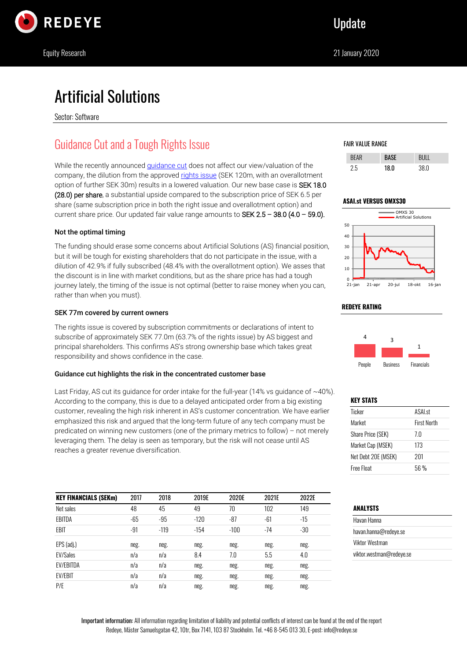

# Artificial Solutions

Sector: Software

# Guidance Cut and a Tough Rights Issue

While the recently announced *guidance cut* does not affect our view/valuation of the company, the dilution from the approved [rights issue](https://www.artificial-solutions.com/blog/artificial-solutions-announces-a-rights-issue) (SEK 120m, with an overallotment option of further SEK 30m) results in a lowered valuation. Our new base case is SEK 18.0 (28.0) per share, a substantial upside compared to the subscription price of SEK 6.5 per share (same subscription price in both the right issue and overallotment option) and current share price. Our updated fair value range amounts to SEK  $2.5 - 38.0$  (4.0 – 59.0).

## Not the optimal timing

The funding should erase some concerns about Artificial Solutions (AS) financial position, but it will be tough for existing shareholders that do not participate in the issue, with a dilution of 42.9% if fully subscribed (48.4% with the overallotment option). We asses that the discount is in line with market conditions, but as the share price has had a tough journey lately, the timing of the issue is not optimal (better to raise money when you can, rather than when you must).

## SEK 77m covered by current owners

The rights issue is covered by subscription commitments or declarations of intent to subscribe of approximately SEK 77.0m (63.7% of the rights issue) by AS biggest and principal shareholders. This confirms AS's strong ownership base which takes great responsibility and shows confidence in the case.

## Guidance cut highlights the risk in the concentrated customer base

Last Friday, AS cut its quidance for order intake for the full-year (14% vs quidance of  $\sim$ 40%). According to the company, this is due to a delayed anticipated order from a big existing customer, revealing the high risk inherent in AS's customer concentration. We have earlier emphasized this risk and argued that the long-term future of any tech company must be predicated on winning new customers (one of the primary metrics to follow) – not merely leveraging them. The delay is seen as temporary, but the risk will not cease until AS reaches a greater revenue diversification.

| <b>KEY FINANCIALS (SEKm)</b> | 2017  | 2018   | 2019E  | 2020E  | 2021E | 2022E |
|------------------------------|-------|--------|--------|--------|-------|-------|
| Net sales                    | 48    | 45     | 49     | 70     | 102   | 149   |
| EBITDA                       | $-65$ | -95    | $-120$ | -87    | -61   | -15   |
| EBIT                         | $-91$ | $-119$ | $-154$ | $-100$ | $-74$ | $-30$ |
| EPS (adj.)                   | neg.  | neg.   | neg.   | neg.   | neg.  | neg.  |
| <b>EV/Sales</b>              | n/a   | n/a    | 8.4    | 7.0    | 5.5   | 4.0   |
| <b>EV/EBITDA</b>             | n/a   | n/a    | neg.   | neg.   | neg.  | neg.  |
| <b>EV/EBIT</b>               | n/a   | n/a    | neg.   | neg.   | neg.  | neg.  |
| P/E                          | n/a   | n/a    | neg.   | neg.   | neg.  | neg.  |

#### FAIR VALUE RANGE

| 7h | 18 N | 38 N |
|----|------|------|

#### **ASAI.st VERSUS OMXS30**



#### **REDEYE RATING**



## **KEY STATS**

| Ticker              | ASAL <sub>st</sub> |
|---------------------|--------------------|
| Market              | <b>First North</b> |
| Share Price (SEK)   | 7.0                |
| Market Cap (MSEK)   | 173                |
| Net Debt 20E (MSEK) | 201                |
| Free Float          | 56 %               |

## **ANALYSTS**

| Havan Hanna              |  |
|--------------------------|--|
| havan.hanna@redeye.se    |  |
| Viktor Westman           |  |
| viktor.westman@redeye.se |  |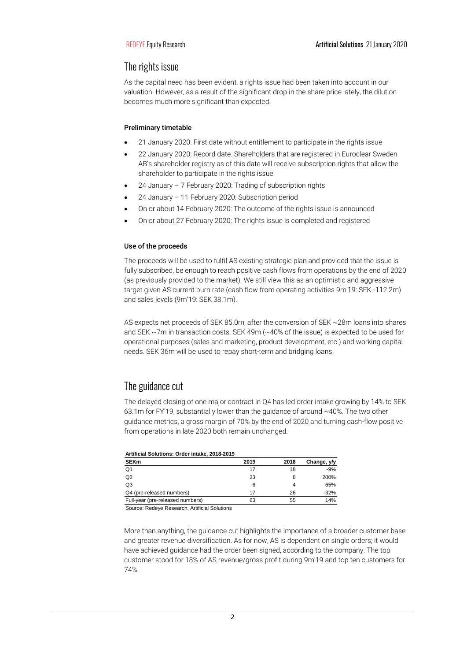## The rights issue

As the capital need has been evident, a rights issue had been taken into account in our valuation. However, as a result of the significant drop in the share price lately, the dilution becomes much more significant than expected.

#### Preliminary timetable

- 21 January 2020: First date without entitlement to participate in the rights issue
- 22 January 2020: Record date. Shareholders that are registered in Euroclear Sweden AB's shareholder registry as of this date will receive subscription rights that allow the shareholder to participate in the rights issue
- 24 January 7 February 2020: Trading of subscription rights
- 24 January 11 February 2020: Subscription period
- On or about 14 February 2020: The outcome of the rights issue is announced
- On or about 27 February 2020: The rights issue is completed and registered

## Use of the proceeds

The proceeds will be used to fulfil AS existing strategic plan and provided that the issue is fully subscribed, be enough to reach positive cash flows from operations by the end of 2020 (as previously provided to the market). We still view this as an optimistic and aggressive target given AS current burn rate (cash flow from operating activities 9m'19: SEK -112.2m) and sales levels (9m'19: SEK 38.1m).

AS expects net proceeds of SEK 85.0m, after the conversion of SEK ~28m loans into shares and SEK ~7m in transaction costs. SEK 49m (~40% of the issue) is expected to be used for operational purposes (sales and marketing, product development, etc.) and working capital needs. SEK 36m will be used to repay short-term and bridging loans.

## The guidance cut

The delayed closing of one major contract in Q4 has led order intake growing by 14% to SEK 63.1m for FY'19, substantially lower than the guidance of around  $~40\%$ . The two other guidance metrics, a gross margin of 70% by the end of 2020 and turning cash-flow positive from operations in late 2020 both remain unchanged.

| Artificial Solutions: Order intake, 2018-2019 |      |      |             |  |  |  |  |
|-----------------------------------------------|------|------|-------------|--|--|--|--|
| <b>SEKm</b>                                   | 2019 | 2018 | Change, y/y |  |  |  |  |
| Q <sub>1</sub>                                | 17   | 18   | $-9%$       |  |  |  |  |
| Q2                                            | 23   | 8    | 200%        |  |  |  |  |
| Q3                                            | 6    | 4    | 65%         |  |  |  |  |
| Q4 (pre-released numbers)                     | 17   | 26   | $-32%$      |  |  |  |  |
| Full-year (pre-released numbers)              | 63   | 55   | 14%         |  |  |  |  |

Source: Redeye Research, Artificial Solutions

More than anything, the guidance cut highlights the importance of a broader customer base and greater revenue diversification. As for now, AS is dependent on single orders; it would have achieved guidance had the order been signed, according to the company. The top customer stood for 18% of AS revenue/gross profit during 9m'19 and top ten customers for 74%.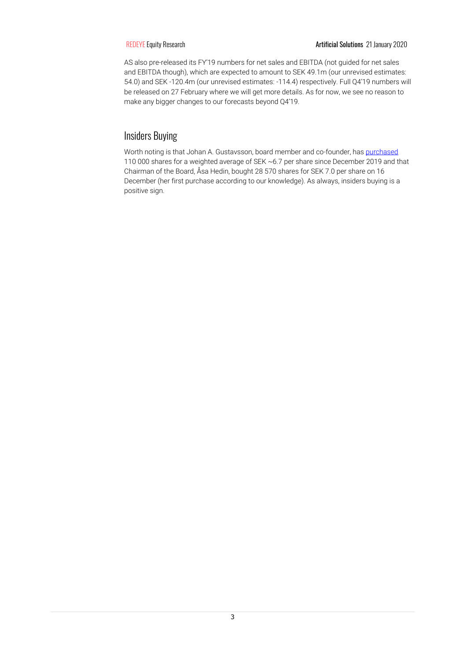AS also pre-released its FY'19 numbers for net sales and EBITDA (not guided for net sales and EBITDA though), which are expected to amount to SEK 49.1m (our unrevised estimates: 54.0) and SEK -120.4m (our unrevised estimates: -114.4) respectively. Full Q4'19 numbers will be released on 27 February where we will get more details. As for now, we see no reason to make any bigger changes to our forecasts beyond Q4'19.

## Insiders Buying

Worth noting is that Johan A. Gustavsson, board member and co-founder, ha[s purchased](https://marknadssok.fi.se/Publiceringsklient/sv-SE/Search/Search?SearchFunctionType=Insyn&Utgivare=Artificial+Solutions+International+AB&PersonILedandeSt%C3%A4llningNamn=&Transaktionsdatum.From=&Transaktionsdatum.To=&Publiceringsdatum.From=&Publiceringsdatum.To=&button=search&Page=1) 110 000 shares for a weighted average of SEK ~6.7 per share since December 2019 and that Chairman of the Board, Åsa Hedin, bought 28 570 shares for SEK 7.0 per share on 16 December (her first purchase according to our knowledge). As always, insiders buying is a positive sign.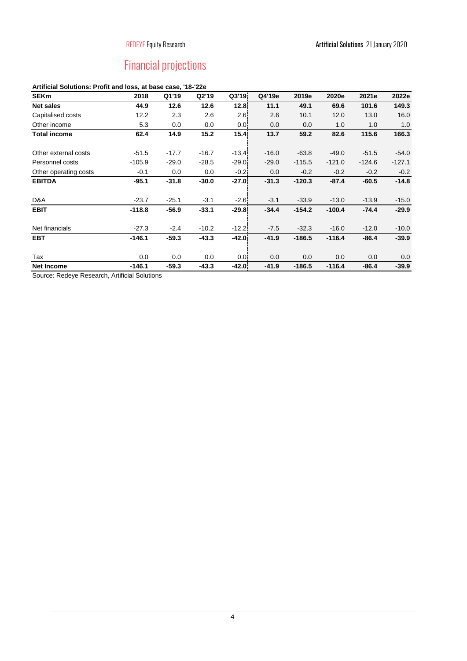# Financial projections

## **Artificial Solutions: Profit and loss, at base case, '18-'22e**

| <b>SEKm</b>           | 2018     | Q1'19   | Q2'19   | Q3'19   | Q4'19e  | 2019e    | 2020e    | 2021e    | 2022e    |
|-----------------------|----------|---------|---------|---------|---------|----------|----------|----------|----------|
| <b>Net sales</b>      | 44.9     | 12.6    | 12.6    | 12.8    | 11.1    | 49.1     | 69.6     | 101.6    | 149.3    |
| Capitalised costs     | 12.2     | 2.3     | 2.6     | 2.6     | 2.6     | 10.1     | 12.0     | 13.0     | 16.0     |
| Other income          | 5.3      | 0.0     | 0.0     | 0.01    | 0.0     | 0.0      | 1.0      | 1.0      | 1.0      |
| <b>Total income</b>   | 62.4     | 14.9    | 15.2    | 15.41   | 13.7    | 59.2     | 82.6     | 115.6    | 166.3    |
| Other external costs  | $-51.5$  | $-17.7$ | $-16.7$ | $-13.4$ | $-16.0$ | $-63.8$  | $-49.0$  | $-51.5$  | $-54.0$  |
| Personnel costs       | $-105.9$ | $-29.0$ | $-28.5$ | $-29.0$ | $-29.0$ | $-115.5$ | $-121.0$ | $-124.6$ | $-127.1$ |
| Other operating costs | $-0.1$   | 0.0     | 0.0     | $-0.21$ | 0.0     | $-0.2$   | $-0.2$   | $-0.2$   | $-0.2$   |
| <b>EBITDA</b>         | $-95.1$  | $-31.8$ | $-30.0$ | $-27.0$ | $-31.3$ | $-120.3$ | $-87.4$  | $-60.5$  | $-14.8$  |
| D&A                   | $-23.7$  | $-25.1$ | $-3.1$  | $-2.6$  | $-3.1$  | $-33.9$  | $-13.0$  | $-13.9$  | $-15.0$  |
| <b>EBIT</b>           | $-118.8$ | $-56.9$ | $-33.1$ | $-29.8$ | $-34.4$ | $-154.2$ | $-100.4$ | $-74.4$  | $-29.9$  |
| Net financials        | $-27.3$  | $-2.4$  | $-10.2$ | $-12.2$ | $-7.5$  | $-32.3$  | $-16.0$  | $-12.0$  | $-10.0$  |
| <b>EBT</b>            | $-146.1$ | $-59.3$ | $-43.3$ | $-42.0$ | $-41.9$ | $-186.5$ | $-116.4$ | $-86.4$  | $-39.9$  |
| Tax                   | 0.0      | 0.0     | 0.0     | 0.0!    | 0.0     | 0.0      | 0.0      | 0.0      | 0.0      |
| <b>Net Income</b>     | $-146.1$ | $-59.3$ | $-43.3$ | $-42.0$ | $-41.9$ | $-186.5$ | $-116.4$ | $-86.4$  | $-39.9$  |

Source: Redeye Research, Artificial Solutions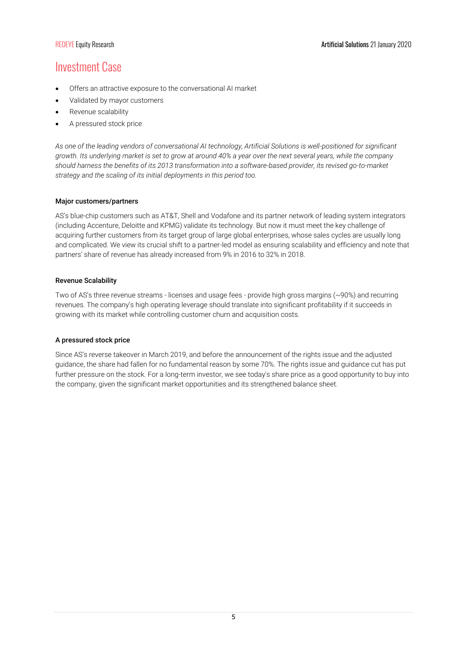## Investment Case

- Offers an attractive exposure to the conversational AI market
- Validated by mayor customers
- Revenue scalability
- A pressured stock price

*As one of the leading vendors of conversational AI technology, Artificial Solutions is well-positioned for significant growth. Its underlying market is set to grow at around 40% a year over the next several years, while the company should harness the benefits of its 2013 transformation into a software-based provider, its revised go-to-market strategy and the scaling of its initial deployments in this period too.*

#### Major customers/partners

AS's blue-chip customers such as AT&T, Shell and Vodafone and its partner network of leading system integrators (including Accenture, Deloitte and KPMG) validate its technology. But now it must meet the key challenge of acquiring further customers from its target group of large global enterprises, whose sales cycles are usually long and complicated. We view its crucial shift to a partner-led model as ensuring scalability and efficiency and note that partners' share of revenue has already increased from 9% in 2016 to 32% in 2018.

#### Revenue Scalability

Two of AS's three revenue streams - licenses and usage fees - provide high gross margins (~90%) and recurring revenues. The company's high operating leverage should translate into significant profitability if it succeeds in growing with its market while controlling customer churn and acquisition costs.

#### A pressured stock price

Since AS's reverse takeover in March 2019, and before the announcement of the rights issue and the adjusted guidance, the share had fallen for no fundamental reason by some 70%. The rights issue and guidance cut has put further pressure on the stock. For a long-term investor, we see today's share price as a good opportunity to buy into the company, given the significant market opportunities and its strengthened balance sheet.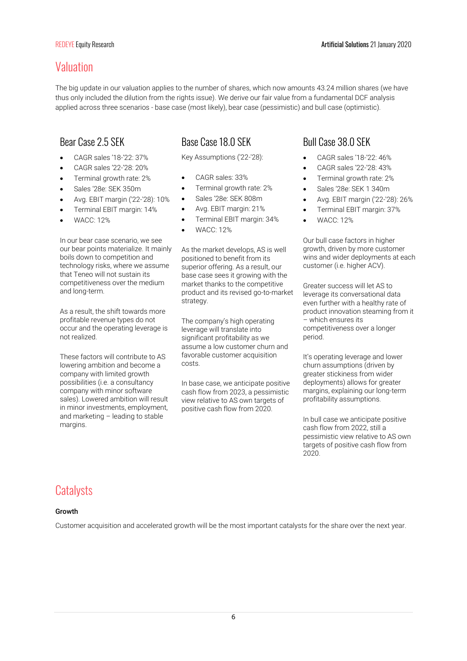## Valuation

The big update in our valuation applies to the number of shares, which now amounts 43.24 million shares (we have thus only included the dilution from the rights issue). We derive our fair value from a fundamental DCF analysis applied across three scenarios - base case (most likely), bear case (pessimistic) and bull case (optimistic).

- CAGR sales '18-'22: 37%
- CAGR sales '22-'28: 20%
- Terminal growth rate: 2%
- Sales '28e: SEK 350m
- Avg. EBIT margin ('22-'28): 10%
- Terminal EBIT margin: 14%
- WACC: 12%

In our bear case scenario, we see our bear points materialize. It mainly boils down to competition and technology risks, where we assume that Teneo will not sustain its competitiveness over the medium and long-term.

As a result, the shift towards more profitable revenue types do not occur and the operating leverage is not realized.

These factors will contribute to AS lowering ambition and become a company with limited growth possibilities (i.e. a consultancy company with minor software sales). Lowered ambition will result in minor investments, employment, and marketing – leading to stable margins.

# Bear Case 2.5 SEK Base Case 18.0 SEK Bull Case 38.0 SEK

Key Assumptions ('22-'28):

- CAGR sales: 33%
- Terminal growth rate: 2%
- Sales '28e: SEK 808m
- Avg. EBIT margin: 21%
- Terminal EBIT margin: 34%
- WACC: 12%

As the market develops, AS is well positioned to benefit from its superior offering. As a result, our base case sees it growing with the market thanks to the competitive product and its revised go-to-market strategy.

The company's high operating leverage will translate into significant profitability as we assume a low customer churn and favorable customer acquisition costs.

In base case, we anticipate positive cash flow from 2023, a pessimistic view relative to AS own targets of positive cash flow from 2020.

- CAGR sales '18-'22: 46%
- CAGR sales '22-'28: 43%
- Terminal growth rate: 2%
- Sales '28e: SEK 1 340m
- Avg. EBIT margin ('22-'28): 26%
- Terminal EBIT margin: 37%
- WACC: 12%

Our bull case factors in higher growth, driven by more customer wins and wider deployments at each customer (i.e. higher ACV).

Greater success will let AS to leverage its conversational data even further with a healthy rate of product innovation steaming from it – which ensures its competitiveness over a longer period.

It's operating leverage and lower churn assumptions (driven by greater stickiness from wider deployments) allows for greater margins, explaining our long-term profitability assumptions.

In bull case we anticipate positive cash flow from 2022, still a pessimistic view relative to AS own targets of positive cash flow from 2020.

# **Catalysts**

## Growth

Customer acquisition and accelerated growth will be the most important catalysts for the share over the next year.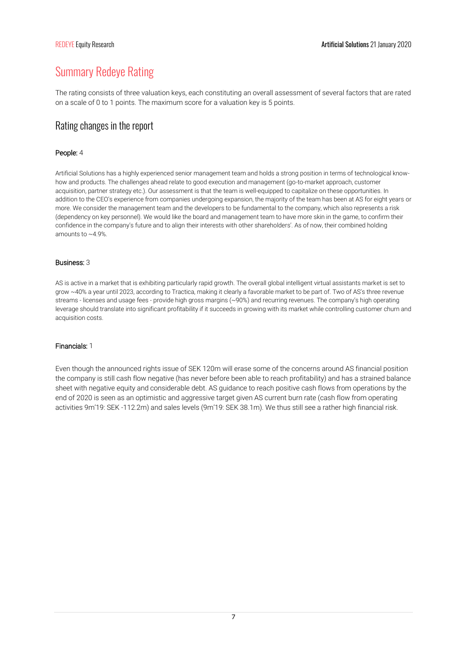# Summary Redeye Rating

The rating consists of three valuation keys, each constituting an overall assessment of several factors that are rated on a scale of 0 to 1 points. The maximum score for a valuation key is 5 points.

## Rating changes in the report

#### People: 4

Artificial Solutions has a highly experienced senior management team and holds a strong position in terms of technological knowhow and products. The challenges ahead relate to good execution and management (go-to-market approach, customer acquisition, partner strategy etc.). Our assessment is that the team is well-equipped to capitalize on these opportunities. In addition to the CEO's experience from companies undergoing expansion, the majority of the team has been at AS for eight years or more. We consider the management team and the developers to be fundamental to the company, which also represents a risk (dependency on key personnel). We would like the board and management team to have more skin in the game, to confirm their confidence in the company's future and to align their interests with other shareholders'. As of now, their combined holding amounts to ~4.9%.

#### Business: 3

AS is active in a market that is exhibiting particularly rapid growth. The overall global intelligent virtual assistants market is set to grow ~40% a year until 2023, according to Tractica, making it clearly a favorable market to be part of. Two of AS's three revenue streams - licenses and usage fees - provide high gross margins (~90%) and recurring revenues. The company's high operating leverage should translate into significant profitability if it succeeds in growing with its market while controlling customer churn and acquisition costs.

#### Financials: 1

Even though the announced rights issue of SEK 120m will erase some of the concerns around AS financial position the company is still cash flow negative (has never before been able to reach profitability) and has a strained balance sheet with negative equity and considerable debt. AS guidance to reach positive cash flows from operations by the end of 2020 is seen as an optimistic and aggressive target given AS current burn rate (cash flow from operating activities 9m'19: SEK -112.2m) and sales levels (9m'19: SEK 38.1m). We thus still see a rather high financial risk.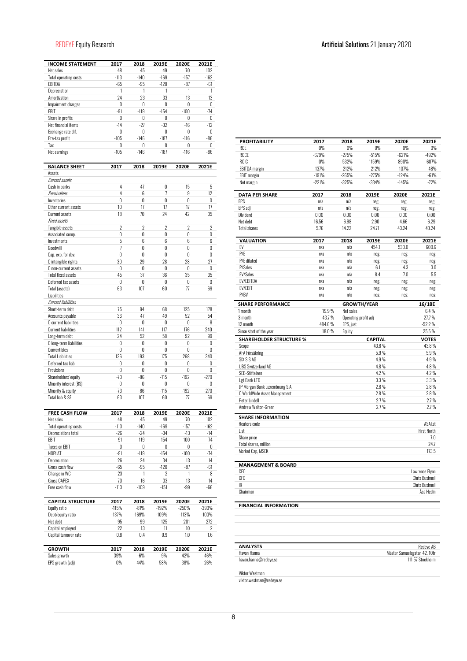## REDEYE Equity Research Artificial Solutions 21 January 2020

| <b>INCOME STATEMENT</b>                     | 2017                     | 2018           | 2019E          | 2020E       | 2021E          |
|---------------------------------------------|--------------------------|----------------|----------------|-------------|----------------|
| Net sales                                   | 48                       | 45             | 49             | 70          | 102            |
| <b>Total operating costs</b>                | $-113$                   | $-140$         | $-169$         | $-157$      | $-162$         |
| EBITDA                                      | $-65$                    | -95            | $-120$         | $-87$       | -61            |
| Depreciation                                | $-1$                     | $-1$           | $-1$           | $-1$        | $-1$           |
| Amortization                                | $-24$                    | $-23$          | $-33$          | $-13$       | $-13$          |
| Impairment charges                          | 0                        | 0              | 0              | 0           | 0              |
| EBIT                                        | $-91$                    | $-119$         | $-154$         | $-100$      | $-74$          |
| Share in profits                            | 0                        | 0              | 0              | 0           | 0              |
| Net financial items                         | $-14$                    | $-27$          | $-32$          | $-16$       | $-12$          |
| Exchange rate dif.<br>Pre-tax profit        | 0<br>$-105$              | 0<br>$-146$    | 0<br>$-187$    | 0<br>$-116$ | 0<br>$-86$     |
| Tax                                         | 0                        | 0              | 0              | 0           | 0              |
| Net earnings                                | $-105$                   | $-146$         | $-187$         | $-116$      | $-86$          |
| <b>BALANCE SHEET</b>                        | 2017                     | 2018           | 2019E          | 2020E       | 2021E          |
| Assets                                      |                          |                |                |             |                |
| Current assets                              |                          |                |                |             |                |
| Cash in banks                               | 4                        | 47             | 0              | 15          | 5              |
| Receivables                                 | 4                        | 6              | 7              | 9           | 12             |
| Inventories                                 | $\mathbf{0}$             | 0              | 0              | 0           | 0              |
| Other current assets                        | 10                       | 17             | 17             | 17          | 17             |
| Current assets                              | 18                       | 70             | 24             | 42          | 35             |
| <b>Fixed assets</b>                         |                          |                |                |             |                |
| Tangible assets                             | $\overline{\phantom{a}}$ | $\overline{2}$ | $\overline{2}$ | 2           | $\overline{2}$ |
| Associated comp.                            | 0                        | 0              | 0<br>6         | 0<br>6      | 0              |
| Investments<br>Goodwill                     | 5<br>7                   | 6<br>0         | 0              | 0           | 6<br>0         |
|                                             | 0                        | 0              | $\mathbf{0}$   | $\theta$    | 0              |
| Cap. exp. for dev.                          | 30                       | 29             | 28             | 28          | 27             |
| O intangible rights<br>O non-current assets | 0                        | 0              | 0              | 0           | 0              |
| <b>Total fixed assets</b>                   | 45                       | 37             | 36             | 35          | 35             |
| Deferred tax assets                         | 0                        | 0              | 0              | 0           | 0              |
| Total (assets)                              | 63                       | 107            | 60             | 77          | 69             |
| Liabilities                                 |                          |                |                |             |                |
| <b>Current liabilities</b>                  |                          |                |                |             |                |
| Short-term debt                             | 75                       | 94             | 68             | 125         | 178            |
| Accounts payable                            | 36                       | 47             | 49             | 52          | 54             |
| O current liabilities                       | 0                        | 0              | 0              | 0           | 8              |
| <b>Current liabilities</b>                  | 112                      | 141            | 117            | 176         | 240            |
| Long-term debt                              | 24                       | 52             | 58             | 92          | 99             |
| O long-term liabilities                     | 0                        | 0              | 0              | 0           | 0              |
| Convertibles                                | 0                        | 0              | $\theta$       | 0           | 0              |
| <b>Total Liabilities</b>                    | 136                      | 193            | 175            | 268         | 340            |
| Deferred tax liab                           | 0                        | 0              | 0              | 0           | 0              |
| Provisions                                  | 0                        | 0              | 0              | 0           | 0              |
| Shareholders' equity                        | $-73$                    | $-86$          | $-115$         | $-192$      | $-270$         |
| Minority interest (BS)                      | 0                        | 0              | 0              | 0           | 0              |
| Minority & equity                           | -73                      | $-86$          | $-115$         | $-192$      | $-270$         |
| Total liab & SE                             | 63                       | 107            | 60             | 77          | 69             |
|                                             |                          |                |                |             |                |
| <b>FREE CASH FLOW</b><br>Net sales          | 2017<br>48               | 2018<br>45     | 2019E<br>49    | 2020E<br>70 | 2021E<br>102   |
| <b>Total operating costs</b>                | $-113$                   | $-140$         | $-169$         | $-157$      | $-162$         |
| <b>Depreciations total</b>                  | -26                      | $-24$          | -34            | $-13$       | $-14$          |
| EBIT                                        | $-91$                    | $-119$         | $-154$         | $-100$      | -74            |
| <b>Taxes on EBIT</b>                        | 0                        | 0              | 0              | 0           | 0              |
| NOPLAT                                      | -91                      | $-119$         | $-154$         | $-100$      | -74            |
| Depreciation                                | 26                       | 24             | 34             | 13          | 14             |
| Gross cash flow                             | -65                      | $-95$          | $-120$         | -87         | -61            |
| Change in WC                                | 23                       | 1              | 2              | 1           | 8              |
| Gross CAPEX                                 | $-70$                    | -16            | $-33$          | $-13$       | $-14$          |
| Free cash flow                              | $-113$                   | $-109$         | $-151$         | $-99$       | $-66$          |
| <b>CAPITAL STRUCTURE</b>                    | 2017                     | 2018           | 2019E          | 2020E       | 2021E          |
| Equity ratio                                | $-115%$                  | -81%           | $-192%$        | -250%       | $-390%$        |
| Debt/equity ratio                           | $-137%$                  | $-169%$        | $-109%$        | $-113%$     | $-103%$        |
| Net debt                                    | 95                       | 99             | 125            | 201         | 272            |
| Capital employed                            | 22                       | 13             | 11             | 10          | 2              |
| Capital turnover rate                       | 0.8                      | $0.4\,$        | $0.9\,$        | 1.0         | 1.6            |
| <b>GROWTH</b>                               | 2017                     | 2018           | 2019E          | 2020E       | 2021E          |
| Sales growth                                | 39%                      | $-6%$          | 9%             | 42%         | 46%            |
| EPS growth (adj)                            | 0%                       | $-44%$         | $-58%$         | $-38%$      | $-26%$         |

| <b>PROFITABILITY</b>                                                                                | 2017     | 2018                 | 2019E              | 2020E                        | 2021E                         |
|-----------------------------------------------------------------------------------------------------|----------|----------------------|--------------------|------------------------------|-------------------------------|
| <b>ROE</b>                                                                                          | $0\%$    | $0\%$                | $0\%$              | $0\%$                        | $0\%$                         |
| ROCE                                                                                                | $-679%$  | $-275%$              | $-515%$            | $-621%$                      | $-492%$                       |
| ROIC                                                                                                | 0%       | $-532%$              | $-1159%$           | $-890%$                      | $-687%$                       |
| <b>EBITDA</b> margin                                                                                | $-137%$  | $-212%$              | $-212%$            | $-107%$                      | $-48%$                        |
| <b>EBIT</b> margin                                                                                  | $-191%$  | $-265%$              | $-275%$            | $-124%$                      | $-61%$                        |
| Net margin                                                                                          | $-221%$  | $-325%$              | $-334%$            | $-145%$                      | $-72%$                        |
| <b>DATA PER SHARE</b>                                                                               | 2017     | 2018                 | 2019E              | 2020E                        | 2021E                         |
| EPS                                                                                                 | n/a      | n/a                  | neg.               | neg.                         | neg.                          |
| EPS adj                                                                                             | n/a      | n/a                  | neg.               | neg.                         | neg.                          |
| Dividend                                                                                            | 0.00     | 0.00                 | 0.00               | 0.00                         | 0.00                          |
| Net debt                                                                                            | 16.56    | 6.98                 | 2.90               | 4.66                         | 6.29                          |
| <b>Total shares</b>                                                                                 | 5.76     | 14.22                | 24.71              | 43.24                        | 43.24                         |
| <b>VALUATION</b>                                                                                    | 2017     | 2018                 | 2019E              | 2020E                        | 2021E                         |
| EV                                                                                                  | n/a      | n/a                  | 454.1              | 530.0                        | 600.6                         |
| P/E                                                                                                 | n/a      | n/a                  | neg.               | neg.                         | neg.                          |
| P/E diluted                                                                                         | n/a      | n/a                  | neg.               | neg.                         | neg.                          |
| P/Sales                                                                                             | n/a      | n/a                  | 6.1                | 4.3                          | 3.0                           |
| <b>EV/Sales</b>                                                                                     | n/a      | n/a                  | 8.4                | 7.0                          | 5.5                           |
| EV/EBITDA                                                                                           | n/a      | n/a                  | neg.               | neg.                         | neg.                          |
| <b>EV/EBIT</b>                                                                                      | n/a      | n/a                  | neg.               | neg.                         | neg.                          |
| P/BV                                                                                                | n/a      | n/a                  | neg.               | neg.                         | neg.                          |
| <b>SHARE PERFORMANCE</b><br>1 month                                                                 | 19.9%    | Net sales            | <b>GROWTH/YEAR</b> |                              | 16/18E<br>6.4%                |
| 3 month                                                                                             | $-43.7%$ | Operating profit adj |                    |                              | 27.7%                         |
| 12 month                                                                                            | 484.6%   | EPS, just            |                    |                              | $-52.2%$                      |
| Since start of the year                                                                             | 18.0%    | Equity               |                    |                              | 25.5%                         |
| <b>SHAREHOLDER STRUCTURE %</b>                                                                      |          |                      | <b>CAPITAL</b>     |                              | <b>VOTES</b>                  |
| Scope                                                                                               |          |                      | 43.8%              |                              | 43.8%                         |
| AFA Försäkring                                                                                      |          |                      | 5.9%               |                              | 5.9%                          |
| SIX SIS AG                                                                                          |          |                      | 4.9%               |                              | 4.9%                          |
| <b>UBS Switzerland AG</b>                                                                           |          |                      | 4.8%               |                              | 4.8%                          |
| SEB-Stiftelsen                                                                                      |          |                      | 4.2%               |                              | 4.2%                          |
| Lgt Bank LTD                                                                                        |          |                      | 3.3%               |                              | 3.3%                          |
| JP Morgan Bank Luxembourg S.A.                                                                      |          |                      | 2.8%               |                              | $2.8\%$                       |
| C WorldWide Asset Management                                                                        |          |                      | 2.8%               |                              | $2.8\%$                       |
| Peter Lindell                                                                                       |          |                      | 2.7%               |                              | 2.7%                          |
| Andrew Walton-Green                                                                                 |          |                      | 2.7%               |                              | 2.7%                          |
| <b>SHARE INFORMATION</b>                                                                            |          |                      |                    |                              |                               |
| Reuters code                                                                                        |          |                      |                    |                              | ASAI.st                       |
| List                                                                                                |          |                      |                    |                              | <b>First North</b>            |
| Share price                                                                                         |          |                      |                    |                              | 7.0                           |
| <b>Total shares, million</b>                                                                        |          |                      |                    |                              | 24.7                          |
| Market Cap, MSEK                                                                                    |          |                      |                    |                              | 173.5                         |
| <b>MANAGEMENT &amp; BOARD</b>                                                                       |          |                      |                    |                              |                               |
| CEO                                                                                                 |          |                      |                    |                              | Lawrence Flynn                |
| CFO                                                                                                 |          |                      |                    |                              | <b>Chris Bushnell</b>         |
| IR                                                                                                  |          |                      |                    |                              | <b>Chris Bushnell</b>         |
|                                                                                                     |          |                      |                    |                              | Ăsa Hedin                     |
|                                                                                                     |          |                      |                    |                              |                               |
|                                                                                                     |          |                      |                    |                              |                               |
|                                                                                                     |          |                      |                    |                              |                               |
|                                                                                                     |          |                      |                    |                              |                               |
|                                                                                                     |          |                      |                    |                              |                               |
| Chairman<br><b>FINANCIAL INFORMATION</b><br><b>ANALYSTS</b><br>Havan Hanna<br>havan.hanna@redeye.se |          |                      |                    | Mäster Samuelsgatan 42, 10tr | Redeve AB<br>111 57 Stockholm |

Viktor Westman viktor.westman@redeye.se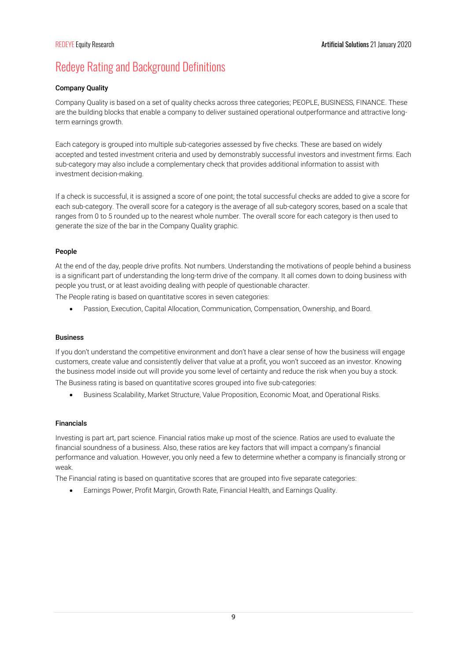# Redeye Rating and Background Definitions

## Company Quality

Company Quality is based on a set of quality checks across three categories; PEOPLE, BUSINESS, FINANCE. These are the building blocks that enable a company to deliver sustained operational outperformance and attractive longterm earnings growth.

Each category is grouped into multiple sub-categories assessed by five checks. These are based on widely accepted and tested investment criteria and used by demonstrably successful investors and investment firms. Each sub-category may also include a complementary check that provides additional information to assist with investment decision-making.

If a check is successful, it is assigned a score of one point; the total successful checks are added to give a score for each sub-category. The overall score for a category is the average of all sub-category scores, based on a scale that ranges from 0 to 5 rounded up to the nearest whole number. The overall score for each category is then used to generate the size of the bar in the Company Quality graphic.

## People

At the end of the day, people drive profits. Not numbers. Understanding the motivations of people behind a business is a significant part of understanding the long-term drive of the company. It all comes down to doing business with people you trust, or at least avoiding dealing with people of questionable character.

The People rating is based on quantitative scores in seven categories:

Passion, Execution, Capital Allocation, Communication, Compensation, Ownership, and Board.

## Business

If you don't understand the competitive environment and don't have a clear sense of how the business will engage customers, create value and consistently deliver that value at a profit, you won't succeed as an investor. Knowing the business model inside out will provide you some level of certainty and reduce the risk when you buy a stock. The Business rating is based on quantitative scores grouped into five sub-categories:

Business Scalability, Market Structure, Value Proposition, Economic Moat, and Operational Risks.

#### Financials

Investing is part art, part science. Financial ratios make up most of the science. Ratios are used to evaluate the financial soundness of a business. Also, these ratios are key factors that will impact a company's financial performance and valuation. However, you only need a few to determine whether a company is financially strong or weak.

The Financial rating is based on quantitative scores that are grouped into five separate categories:

Earnings Power, Profit Margin, Growth Rate, Financial Health, and Earnings Quality.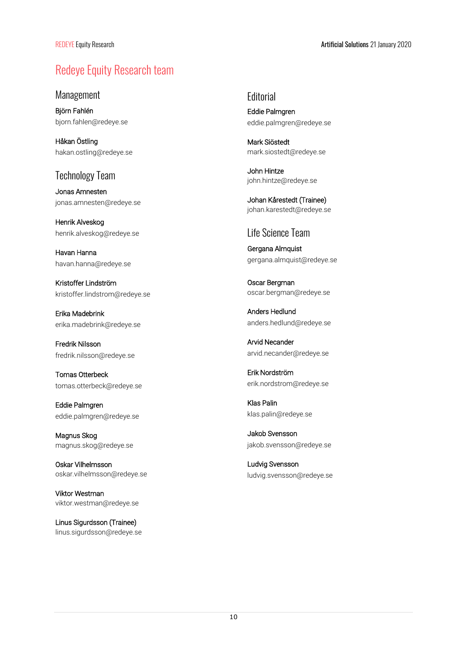# Redeye Equity Research team

Management

Björn Fahlén bjorn.fahlen@redeye.se

Håkan Östling hakan.ostling@redeye.se

## Technology Team

Jonas Amnesten jonas.amnesten@redeye.se

Henrik Alveskog henrik.alveskog@redeye.se

Havan Hanna havan.hanna@redeye.se

Kristoffer Lindström kristoffer.lindstrom@redeye.se

Erika Madebrink erika.madebrink@redeye.se

Fredrik Nilsson fredrik.nilsson@redeye.se

Tomas Otterbeck tomas.otterbeck@redeye.se

Eddie Palmgren eddie.palmgren@redeye.se

Magnus Skog magnus.skog@redeye.se

Oskar Vilhelmsson oskar.vilhelmsson@redeye.se

Viktor Westman viktor.westman@redeye.se

Linus Sigurdsson (Trainee) linus.sigurdsson@redeye.se **Editorial** 

Eddie Palmgren eddie.palmgren@redeye.se

Mark Siöstedt mark.siostedt@redeye.se

John Hintze john.hintze@redeye.se

Johan Kårestedt (Trainee) johan.karestedt@redeye.se

## Life Science Team

Gergana Almquist gergana.almquist@redeye.se

Oscar Bergman oscar.bergman@redeye.se

Anders Hedlund anders.hedlund@redeye.se

Arvid Necander arvid.necander@redeye.se

Erik Nordström erik.nordstrom@redeye.se

Klas Palin klas.palin@redeye.se

Jakob Svensson jakob.svensson@redeye.se

Ludvig Svensson ludvig.svensson@redeye.se